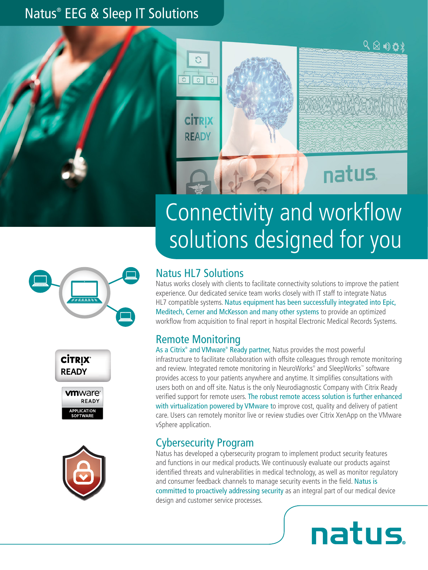## Natus® EEG & Sleep IT Solutions





# natus.

 $Q \otimes \phi$ 

# Connectivity and workflow solutions designed for you









### Natus HL7 Solutions

 $\overline{c}$ 

Natus works closely with clients to facilitate connectivity solutions to improve the patient experience. Our dedicated service team works closely with IT staff to integrate Natus HL7 compatible systems. Natus equipment has been successfully integrated into Epic, Meditech, Cerner and McKesson and many other systems to provide an optimized workflow from acquisition to final report in hospital Electronic Medical Records Systems.

## Remote Monitoring

As a Citrix<sup>®</sup> and VMware<sup>®</sup> Ready partner, Natus provides the most powerful infrastructure to facilitate collaboration with offsite colleagues through remote monitoring and review. Integrated remote monitoring in NeuroWorks® and SleepWorks™ software provides access to your patients anywhere and anytime. It simplifies consultations with users both on and off site. Natus is the only Neurodiagnostic Company with Citrix Ready verified support for remote users. The robust remote access solution is further enhanced with virtualization powered by VMware to improve cost, quality and delivery of patient care. Users can remotely monitor live or review studies over Citrix XenApp on the VMware vSphere application.

## Cybersecurity Program

Natus has developed a cybersecurity program to implement product security features and functions in our medical products. We continuously evaluate our products against identified threats and vulnerabilities in medical technology, as well as monitor regulatory and consumer feedback channels to manage security events in the field. Natus is committed to proactively addressing security as an integral part of our medical device design and customer service processes.

**natus**